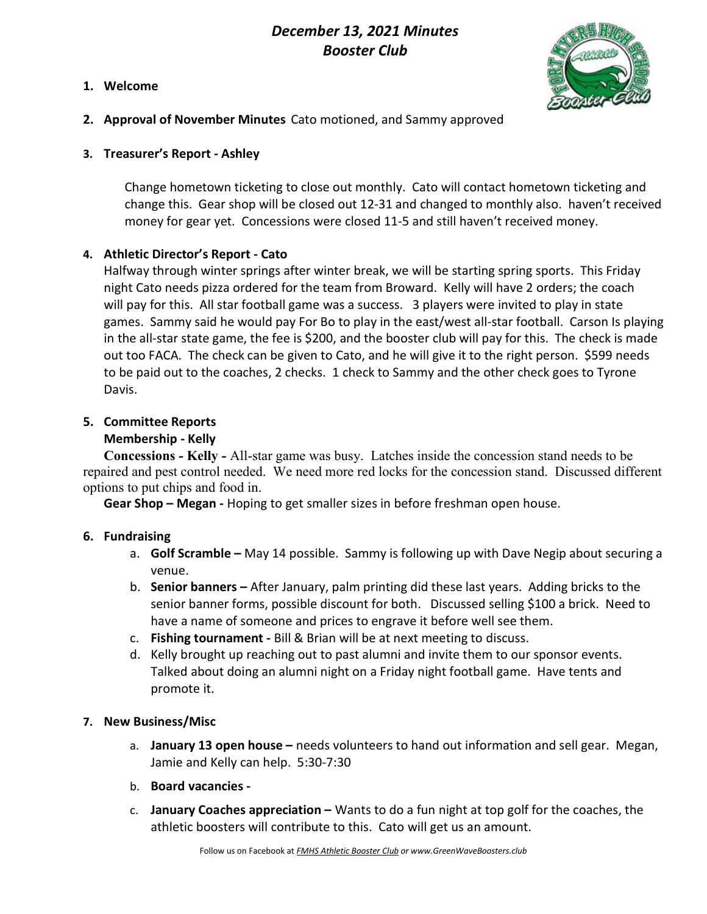## December 13, 2021 Minutes Booster Club

#### 1. Welcome



2. Approval of November Minutes Cato motioned, and Sammy approved

#### 3. Treasurer's Report - Ashley

Change hometown ticketing to close out monthly. Cato will contact hometown ticketing and change this. Gear shop will be closed out 12-31 and changed to monthly also. haven't received money for gear yet. Concessions were closed 11-5 and still haven't received money.

### 4. Athletic Director's Report - Cato

Halfway through winter springs after winter break, we will be starting spring sports. This Friday night Cato needs pizza ordered for the team from Broward. Kelly will have 2 orders; the coach will pay for this. All star football game was a success. 3 players were invited to play in state games. Sammy said he would pay For Bo to play in the east/west all-star football. Carson Is playing in the all-star state game, the fee is \$200, and the booster club will pay for this. The check is made out too FACA. The check can be given to Cato, and he will give it to the right person. \$599 needs to be paid out to the coaches, 2 checks. 1 check to Sammy and the other check goes to Tyrone Davis.

# 5. Committee Reports

#### Membership - Kelly

Concessions - Kelly - All-star game was busy. Latches inside the concession stand needs to be repaired and pest control needed. We need more red locks for the concession stand. Discussed different options to put chips and food in.

Gear Shop - Megan - Hoping to get smaller sizes in before freshman open house.

#### 6. Fundraising

- a. Golf Scramble May 14 possible. Sammy is following up with Dave Negip about securing a venue.
- b. Senior banners After January, palm printing did these last years. Adding bricks to the senior banner forms, possible discount for both. Discussed selling \$100 a brick. Need to have a name of someone and prices to engrave it before well see them.
- c. Fishing tournament Bill & Brian will be at next meeting to discuss.
- d. Kelly brought up reaching out to past alumni and invite them to our sponsor events. Talked about doing an alumni night on a Friday night football game. Have tents and promote it.

#### 7. New Business/Misc

- a. January 13 open house needs volunteers to hand out information and sell gear. Megan, Jamie and Kelly can help. 5:30-7:30
- b. Board vacancies -
- c. January Coaches appreciation  $-$  Wants to do a fun night at top golf for the coaches, the athletic boosters will contribute to this. Cato will get us an amount.